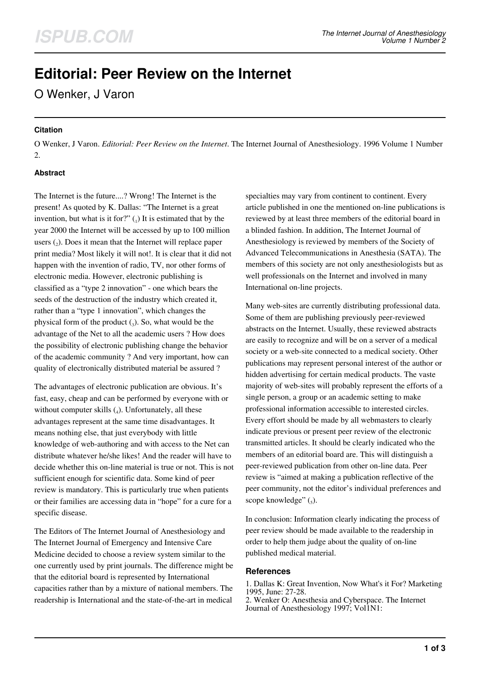# **Editorial: Peer Review on the Internet**

O Wenker, J Varon

#### **Citation**

O Wenker, J Varon. *Editorial: Peer Review on the Internet*. The Internet Journal of Anesthesiology. 1996 Volume 1 Number 2.

## **Abstract**

The Internet is the future....? Wrong! The Internet is the present! As quoted by K. Dallas: "The Internet is a great invention, but what is it for?" $\binom{n}{1}$  It is estimated that by the year 2000 the Internet will be accessed by up to 100 million users  $(_{2})$ . Does it mean that the Internet will replace paper print media? Most likely it will not!. It is clear that it did not happen with the invention of radio, TV, nor other forms of electronic media. However, electronic publishing is classified as a "type 2 innovation" - one which bears the seeds of the destruction of the industry which created it, rather than a "type 1 innovation", which changes the physical form of the product  $\binom{1}{3}$ . So, what would be the advantage of the Net to all the academic users ? How does the possibility of electronic publishing change the behavior of the academic community ? And very important, how can quality of electronically distributed material be assured ?

The advantages of electronic publication are obvious. It's fast, easy, cheap and can be performed by everyone with or without computer skills  $(_4)$ . Unfortunately, all these advantages represent at the same time disadvantages. It means nothing else, that just everybody with little knowledge of web-authoring and with access to the Net can distribute whatever he/she likes! And the reader will have to decide whether this on-line material is true or not. This is not sufficient enough for scientific data. Some kind of peer review is mandatory. This is particularly true when patients or their families are accessing data in "hope" for a cure for a specific disease.

The Editors of The Internet Journal of Anesthesiology and The Internet Journal of Emergency and Intensive Care Medicine decided to choose a review system similar to the one currently used by print journals. The difference might be that the editorial board is represented by International capacities rather than by a mixture of national members. The readership is International and the state-of-the-art in medical

specialties may vary from continent to continent. Every article published in one the mentioned on-line publications is reviewed by at least three members of the editorial board in a blinded fashion. In addition, The Internet Journal of Anesthesiology is reviewed by members of the Society of Advanced Telecommunications in Anesthesia (SATA). The members of this society are not only anesthesiologists but as well professionals on the Internet and involved in many International on-line projects.

Many web-sites are currently distributing professional data. Some of them are publishing previously peer-reviewed abstracts on the Internet. Usually, these reviewed abstracts are easily to recognize and will be on a server of a medical society or a web-site connected to a medical society. Other publications may represent personal interest of the author or hidden advertising for certain medical products. The vaste majority of web-sites will probably represent the efforts of a single person, a group or an academic setting to make professional information accessible to interested circles. Every effort should be made by all webmasters to clearly indicate previous or present peer review of the electronic transmitted articles. It should be clearly indicated who the members of an editorial board are. This will distinguish a peer-reviewed publication from other on-line data. Peer review is "aimed at making a publication reflective of the peer community, not the editor's individual preferences and scope knowledge"  $\left($ <sub>5</sub> $\right)$ .

In conclusion: Information clearly indicating the process of peer review should be made available to the readership in order to help them judge about the quality of on-line published medical material.

#### **References**

1. Dallas K: Great Invention, Now What's it For? Marketing 1995, June: 27-28.

2. Wenker O: Anesthesia and Cyberspace. The Internet Journal of Anesthesiology 1997; Vol1N1: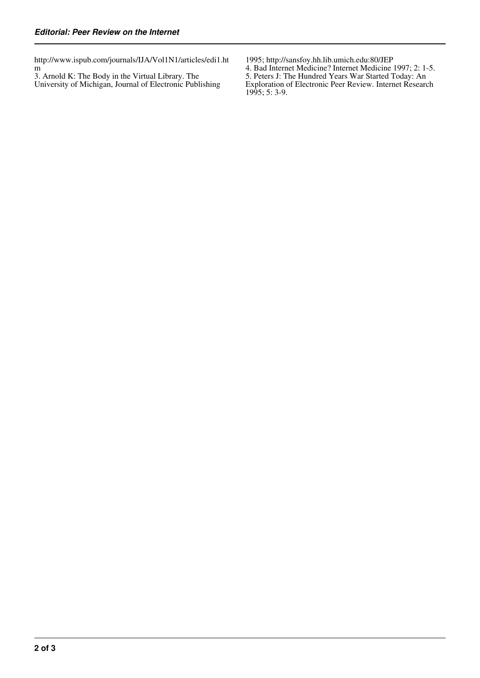http://www.ispub.com/journals/IJA/Vol1N1/articles/edi1.ht m

3. Arnold K: The Body in the Virtual Library. The University of Michigan, Journal of Electronic Publishing

1995; http://sansfoy.hh.lib.umich.edu:80/JEP 4. Bad Internet Medicine? Internet Medicine 1997; 2: 1-5. 5. Peters J: The Hundred Years War Started Today: An Exploration of Electronic Peer Review. Internet Research 1995; 5: 3-9.